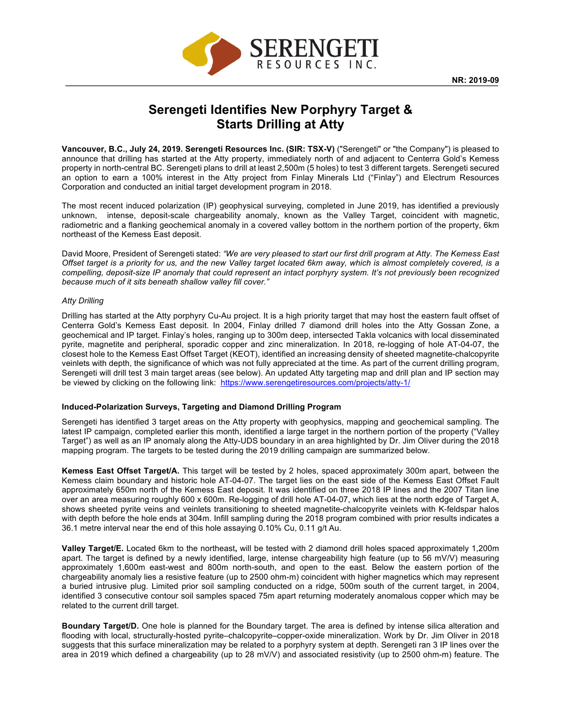

# **Serengeti Identifies New Porphyry Target & Starts Drilling at Atty**

**Vancouver, B.C., July 24, 2019. Serengeti Resources Inc. (SIR: TSX-V)** ("Serengeti" or "the Company") is pleased to announce that drilling has started at the Atty property, immediately north of and adjacent to Centerra Gold's Kemess property in north-central BC. Serengeti plans to drill at least 2,500m (5 holes) to test 3 different targets. Serengeti secured an option to earn a 100% interest in the Atty project from Finlay Minerals Ltd ("Finlay") and Electrum Resources Corporation and conducted an initial target development program in 2018.

The most recent induced polarization (IP) geophysical surveying, completed in June 2019, has identified a previously unknown, intense, deposit-scale chargeability anomaly, known as the Valley Target, coincident with magnetic, radiometric and a flanking geochemical anomaly in a covered valley bottom in the northern portion of the property, 6km northeast of the Kemess East deposit.

David Moore, President of Serengeti stated: *"We are very pleased to start our first drill program at Atty. The Kemess East Offset target is a priority for us, and the new Valley target located 6km away, which is almost completely covered, is a compelling, deposit-size IP anomaly that could represent an intact porphyry system. It's not previously been recognized because much of it sits beneath shallow valley fill cover."*

# *Atty Drilling*

Drilling has started at the Atty porphyry Cu-Au project. It is a high priority target that may host the eastern fault offset of Centerra Gold's Kemess East deposit. In 2004, Finlay drilled 7 diamond drill holes into the Atty Gossan Zone, a geochemical and IP target. Finlay's holes, ranging up to 300m deep, intersected Takla volcanics with local disseminated pyrite, magnetite and peripheral, sporadic copper and zinc mineralization. In 2018, re-logging of hole AT-04-07, the closest hole to the Kemess East Offset Target (KEOT), identified an increasing density of sheeted magnetite-chalcopyrite veinlets with depth, the significance of which was not fully appreciated at the time. As part of the current drilling program, Serengeti will drill test 3 main target areas (see below). An updated Atty targeting map and drill plan and IP section may be viewed by clicking on the following link: https://www.serengetiresources.com/projects/atty-1/

# **Induced-Polarization Surveys, Targeting and Diamond Drilling Program**

Serengeti has identified 3 target areas on the Atty property with geophysics, mapping and geochemical sampling. The latest IP campaign, completed earlier this month, identified a large target in the northern portion of the property ("Valley Target") as well as an IP anomaly along the Atty-UDS boundary in an area highlighted by Dr. Jim Oliver during the 2018 mapping program. The targets to be tested during the 2019 drilling campaign are summarized below.

**Kemess East Offset Target/A.** This target will be tested by 2 holes, spaced approximately 300m apart, between the Kemess claim boundary and historic hole AT-04-07. The target lies on the east side of the Kemess East Offset Fault approximately 650m north of the Kemess East deposit. It was identified on three 2018 IP lines and the 2007 Titan line over an area measuring roughly 600 x 600m. Re-logging of drill hole AT-04-07, which lies at the north edge of Target A, shows sheeted pyrite veins and veinlets transitioning to sheeted magnetite-chalcopyrite veinlets with K-feldspar halos with depth before the hole ends at 304m. Infill sampling during the 2018 program combined with prior results indicates a 36.1 metre interval near the end of this hole assaying 0.10% Cu, 0.11 g/t Au.

**Valley Target/E.** Located 6km to the northeast**,** will be tested with 2 diamond drill holes spaced approximately 1,200m apart. The target is defined by a newly identified, large, intense chargeability high feature (up to 56 mV/V) measuring approximately 1,600m east-west and 800m north-south, and open to the east. Below the eastern portion of the chargeability anomaly lies a resistive feature (up to 2500 ohm-m) coincident with higher magnetics which may represent a buried intrusive plug. Limited prior soil sampling conducted on a ridge, 500m south of the current target, in 2004, identified 3 consecutive contour soil samples spaced 75m apart returning moderately anomalous copper which may be related to the current drill target.

**Boundary Target/D.** One hole is planned for the Boundary target. The area is defined by intense silica alteration and flooding with local, structurally-hosted pyrite–chalcopyrite–copper-oxide mineralization. Work by Dr. Jim Oliver in 2018 suggests that this surface mineralization may be related to a porphyry system at depth. Serengeti ran 3 IP lines over the area in 2019 which defined a chargeability (up to 28 mV/V) and associated resistivity (up to 2500 ohm-m) feature. The